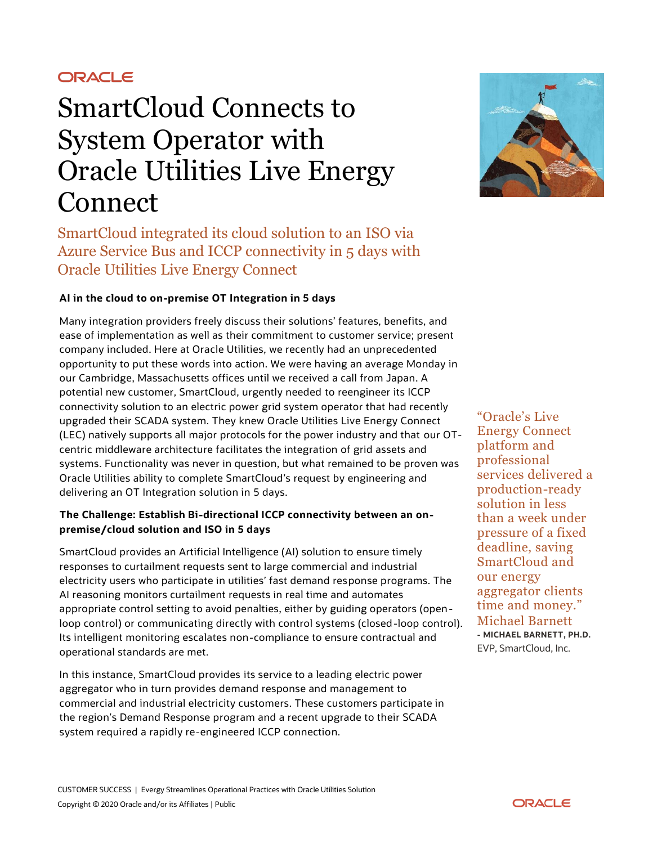# **ORACLE**

# SmartCloud Connects to System Operator with Oracle Utilities Live Energy Connect



# SmartCloud integrated its cloud solution to an ISO via Azure Service Bus and ICCP connectivity in 5 days with Oracle Utilities Live Energy Connect

# **AI in the cloud to on-premise OT Integration in 5 days**

Many integration providers freely discuss their solutions' features, benefits, and ease of implementation as well as their commitment to customer service; present company included. Here at Oracle Utilities, we recently had an unprecedented opportunity to put these words into action. We were having an average Monday in our Cambridge, Massachusetts offices until we received a call from Japan. A potential new customer, SmartCloud, urgently needed to reengineer its ICCP connectivity solution to an electric power grid system operator that had recently upgraded their SCADA system. They knew Oracle Utilities Live Energy Connect (LEC) natively supports all major protocols for the power industry and that our OTcentric middleware architecture facilitates the integration of grid assets and systems. Functionality was never in question, but what remained to be proven was Oracle Utilities ability to complete SmartCloud's request by engineering and delivering an OT Integration solution in 5 days.

# **The Challenge: Establish Bi-directional ICCP connectivity between an onpremise/cloud solution and ISO in 5 days**

SmartCloud provides an Artificial Intelligence (AI) solution to ensure timely responses to curtailment requests sent to large commercial and industrial electricity users who participate in utilities' fast demand response programs. The AI reasoning monitors curtailment requests in real time and automates appropriate control setting to avoid penalties, either by guiding operators (openloop control) or communicating directly with control systems (closed-loop control). Its intelligent monitoring escalates non-compliance to ensure contractual and operational standards are met.

In this instance, SmartCloud provides its service to a leading electric power aggregator who in turn provides demand response and management to commercial and industrial electricity customers. These customers participate in the region's Demand Response program and a recent upgrade to their SCADA system required a rapidly re-engineered ICCP connection.

"Oracle's Live Energy Connect platform and professional services delivered a production-ready solution in less than a week under pressure of a fixed deadline, saving SmartCloud and our energy aggregator clients time and money." Michael Barnett **- MICHAEL BARNETT, PH.D.** EVP, SmartCloud, Inc.